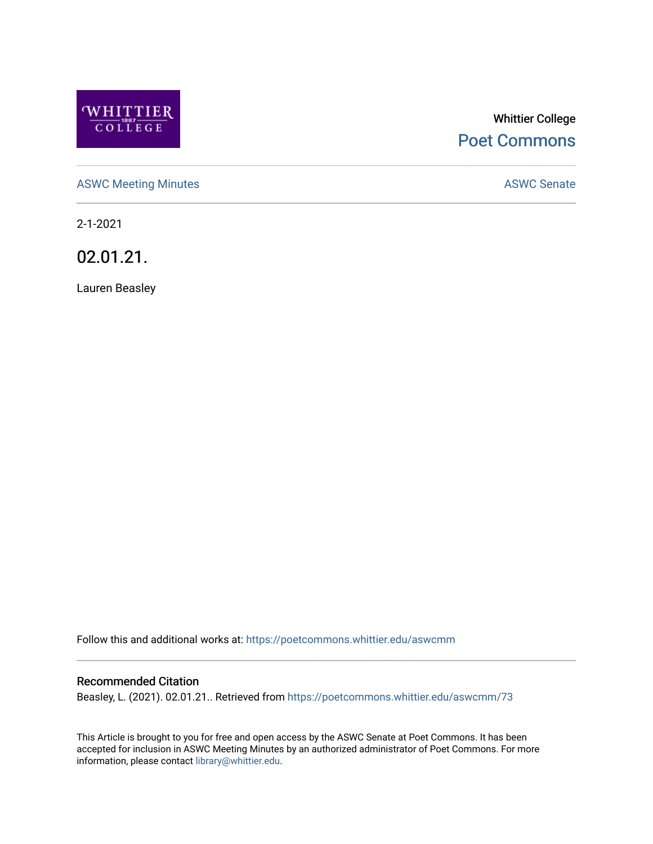

# Whittier College [Poet Commons](https://poetcommons.whittier.edu/)

[ASWC Meeting Minutes](https://poetcommons.whittier.edu/aswcmm) **ASWC Senate** 

2-1-2021

02.01.21.

Lauren Beasley

Follow this and additional works at: [https://poetcommons.whittier.edu/aswcmm](https://poetcommons.whittier.edu/aswcmm?utm_source=poetcommons.whittier.edu%2Faswcmm%2F73&utm_medium=PDF&utm_campaign=PDFCoverPages)

#### Recommended Citation

Beasley, L. (2021). 02.01.21.. Retrieved from [https://poetcommons.whittier.edu/aswcmm/73](https://poetcommons.whittier.edu/aswcmm/73?utm_source=poetcommons.whittier.edu%2Faswcmm%2F73&utm_medium=PDF&utm_campaign=PDFCoverPages)

This Article is brought to you for free and open access by the ASWC Senate at Poet Commons. It has been accepted for inclusion in ASWC Meeting Minutes by an authorized administrator of Poet Commons. For more information, please contact [library@whittier.edu.](mailto:library@whittier.edu)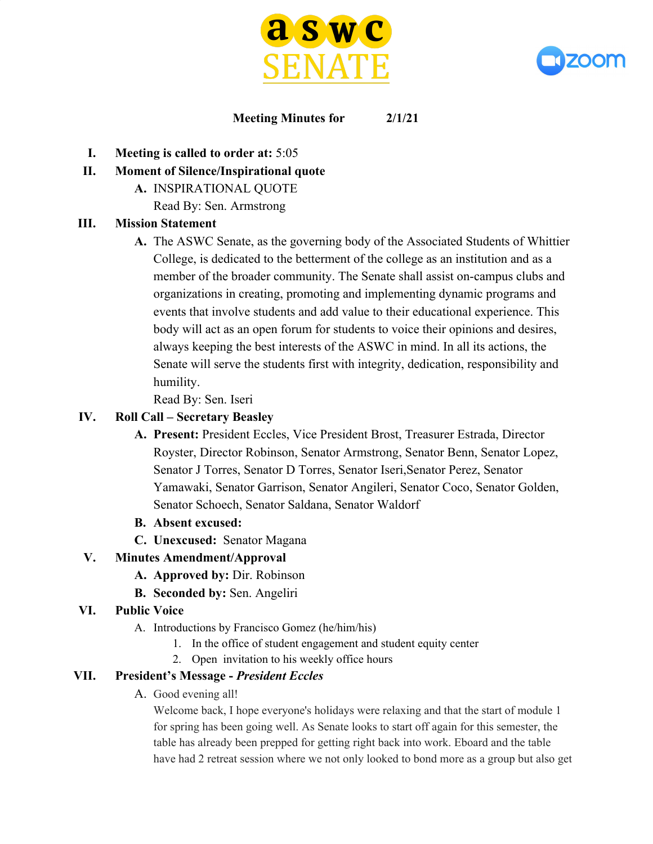



#### **Meeting Minutes for 2/1/21**

- **I. Meeting is called to order at:** 5:05
- **II. Moment of Silence/Inspirational quote**
	- **A.** INSPIRATIONAL QUOTE
		- Read By: Sen. Armstrong

#### **III. Mission Statement**

**A.** The ASWC Senate, as the governing body of the Associated Students of Whittier College, is dedicated to the betterment of the college as an institution and as a member of the broader community. The Senate shall assist on-campus clubs and organizations in creating, promoting and implementing dynamic programs and events that involve students and add value to their educational experience. This body will act as an open forum for students to voice their opinions and desires, always keeping the best interests of the ASWC in mind. In all its actions, the Senate will serve the students first with integrity, dedication, responsibility and humility.

Read By: Sen. Iseri

#### **IV. Roll Call – Secretary Beasley**

- **A. Present:** President Eccles, Vice President Brost, Treasurer Estrada, Director Royster, Director Robinson, Senator Armstrong, Senator Benn, Senator Lopez, Senator J Torres, Senator D Torres, Senator Iseri,Senator Perez, Senator Yamawaki, Senator Garrison, Senator Angileri, Senator Coco, Senator Golden, Senator Schoech, Senator Saldana, Senator Waldorf
- **B. Absent excused:**
- **C. Unexcused:** Senator Magana

## **V. Minutes Amendment/Approval**

- **A. Approved by:** Dir. Robinson
- **B. Seconded by:** Sen. Angeliri

## **VI. Public Voice**

- A. Introductions by Francisco Gomez (he/him/his)
	- 1. In the office of student engagement and student equity center
	- 2. Open invitation to his weekly office hours

## **VII. President's Message -** *President Eccles*

A. Good evening all!

Welcome back, I hope everyone's holidays were relaxing and that the start of module 1 for spring has been going well. As Senate looks to start off again for this semester, the table has already been prepped for getting right back into work. Eboard and the table have had 2 retreat session where we not only looked to bond more as a group but also get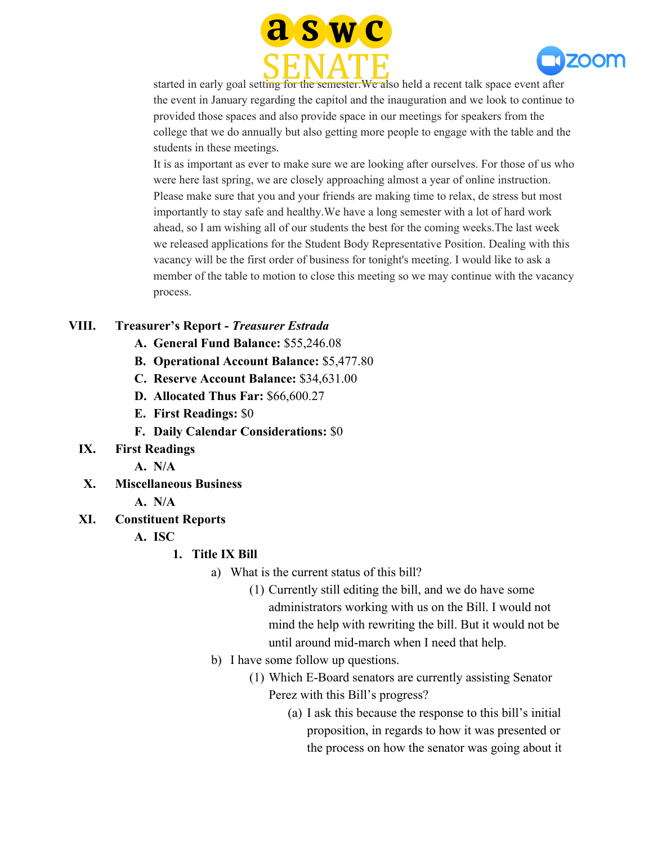



started in early goal setting for the semester.We also held a recent talk space event after the event in January regarding the capitol and the inauguration and we look to continue to provided those spaces and also provide space in our meetings for speakers from the college that we do annually but also getting more people to engage with the table and the students in these meetings.

It is as important as ever to make sure we are looking after ourselves. For those of us who were here last spring, we are closely approaching almost a year of online instruction. Please make sure that you and your friends are making time to relax, de stress but most importantly to stay safe and healthy.We have a long semester with a lot of hard work ahead, so I am wishing all of our students the best for the coming weeks.The last week we released applications for the Student Body Representative Position. Dealing with this vacancy will be the first order of business for tonight's meeting. I would like to ask a member of the table to motion to close this meeting so we may continue with the vacancy process.

#### **VIII. Treasurer's Report -** *Treasurer Estrada*

- **A. General Fund Balance:** \$55,246.08
- **B. Operational Account Balance:** \$5,477.80
- **C. Reserve Account Balance:** \$34,631.00
- **D. Allocated Thus Far:** \$66,600.27
- **E. First Readings:** \$0
- **F. Daily Calendar Considerations:** \$0
- **IX. First Readings**
	- **A. N/A**
- **X. Miscellaneous Business**
	- **A. N/A**
- **XI. Constituent Reports**
	- **A. ISC**

## **1. Title IX Bill**

- a) What is the current status of this bill?
	- (1) Currently still editing the bill, and we do have some administrators working with us on the Bill. I would not mind the help with rewriting the bill. But it would not be until around mid-march when I need that help.
- b) I have some follow up questions.
	- (1) Which E-Board senators are currently assisting Senator Perez with this Bill's progress?
		- (a) I ask this because the response to this bill's initial proposition, in regards to how it was presented or the process on how the senator was going about it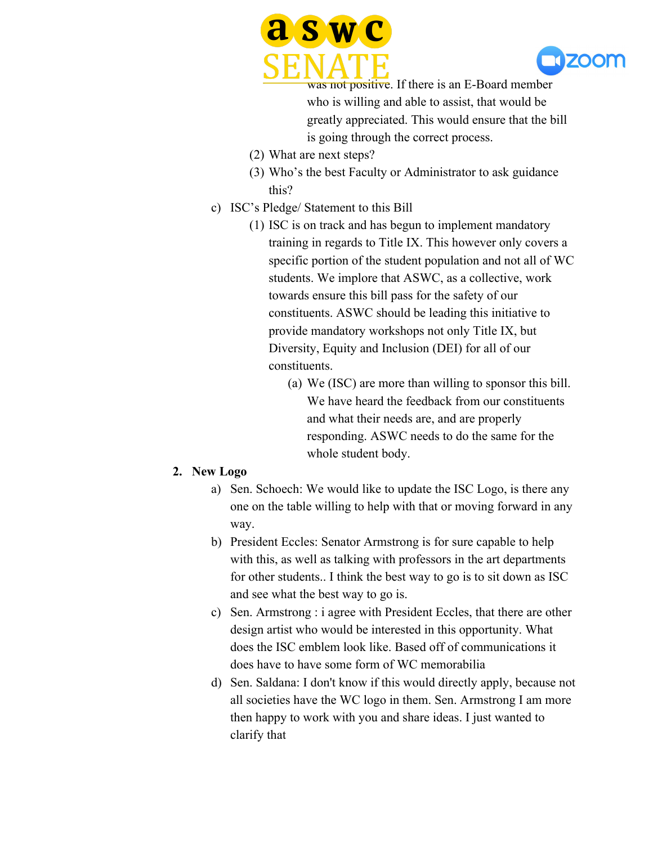



was not positive. If there is an E-Board member who is willing and able to assist, that would be greatly appreciated. This would ensure that the bill is going through the correct process.

- (2) What are next steps?
- (3) Who's the best Faculty or Administrator to ask guidance this?
- c) ISC's Pledge/ Statement to this Bill
	- (1) ISC is on track and has begun to implement mandatory training in regards to Title IX. This however only covers a specific portion of the student population and not all of WC students. We implore that ASWC, as a collective, work towards ensure this bill pass for the safety of our constituents. ASWC should be leading this initiative to provide mandatory workshops not only Title IX, but Diversity, Equity and Inclusion (DEI) for all of our constituents.
		- (a) We (ISC) are more than willing to sponsor this bill. We have heard the feedback from our constituents and what their needs are, and are properly responding. ASWC needs to do the same for the whole student body.

#### **2. New Logo**

- a) Sen. Schoech: We would like to update the ISC Logo, is there any one on the table willing to help with that or moving forward in any way.
- b) President Eccles: Senator Armstrong is for sure capable to help with this, as well as talking with professors in the art departments for other students.. I think the best way to go is to sit down as ISC and see what the best way to go is.
- c) Sen. Armstrong : i agree with President Eccles, that there are other design artist who would be interested in this opportunity. What does the ISC emblem look like. Based off of communications it does have to have some form of WC memorabilia
- d) Sen. Saldana: I don't know if this would directly apply, because not all societies have the WC logo in them. Sen. Armstrong I am more then happy to work with you and share ideas. I just wanted to clarify that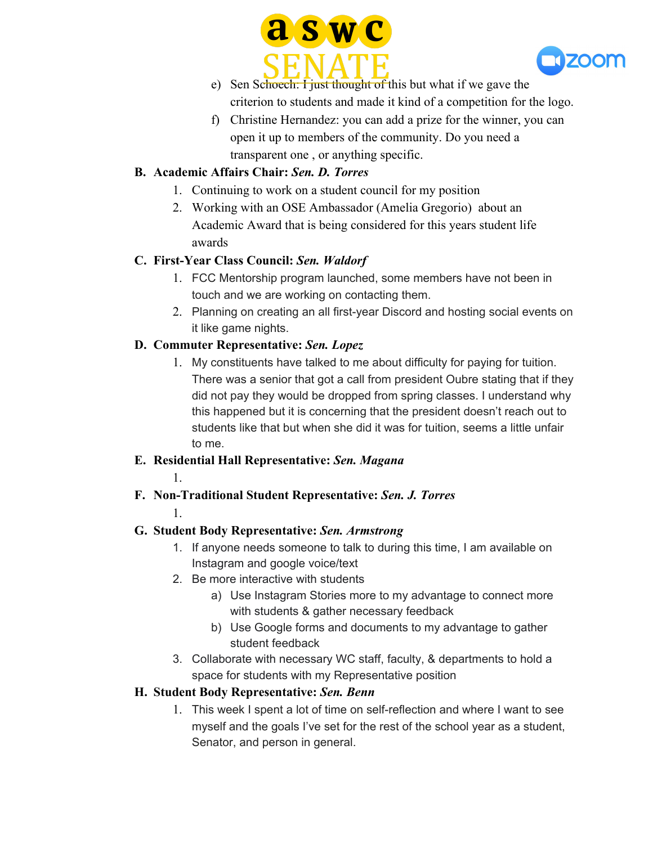



- e) Sen Schoech: I just thought of this but what if we gave the criterion to students and made it kind of a competition for the logo.
- f) Christine Hernandez: you can add a prize for the winner, you can open it up to members of the community. Do you need a transparent one , or anything specific.

# **B. Academic Affairs Chair:** *Sen. D. Torres*

- 1. Continuing to work on a student council for my position
- 2. Working with an OSE Ambassador (Amelia Gregorio) about an Academic Award that is being considered for this years student life awards

# **C. First-Year Class Council:** *Sen. Waldorf*

- 1. FCC Mentorship program launched, some members have not been in touch and we are working on contacting them.
- 2. Planning on creating an all first-year Discord and hosting social events on it like game nights.

# **D. Commuter Representative:** *Sen. Lopez*

1. My constituents have talked to me about difficulty for paying for tuition. There was a senior that got a call from president Oubre stating that if they did not pay they would be dropped from spring classes. I understand why this happened but it is concerning that the president doesn't reach out to students like that but when she did it was for tuition, seems a little unfair to me.

## **E. Residential Hall Representative:** *Sen. Magana*

- 1.
- **F. Non-Traditional Student Representative:** *Sen. J. Torres*

#### 1.

# **G. Student Body Representative:** *Sen. Armstrong*

- 1. If anyone needs someone to talk to during this time, I am available on Instagram and google voice/text
- 2. Be more interactive with students
	- a) Use Instagram Stories more to my advantage to connect more with students & gather necessary feedback
	- b) Use Google forms and documents to my advantage to gather student feedback
- 3. Collaborate with necessary WC staff, faculty, & departments to hold a space for students with my Representative position

# **H. Student Body Representative:** *Sen. Benn*

1. This week I spent a lot of time on self-reflection and where I want to see myself and the goals I've set for the rest of the school year as a student, Senator, and person in general.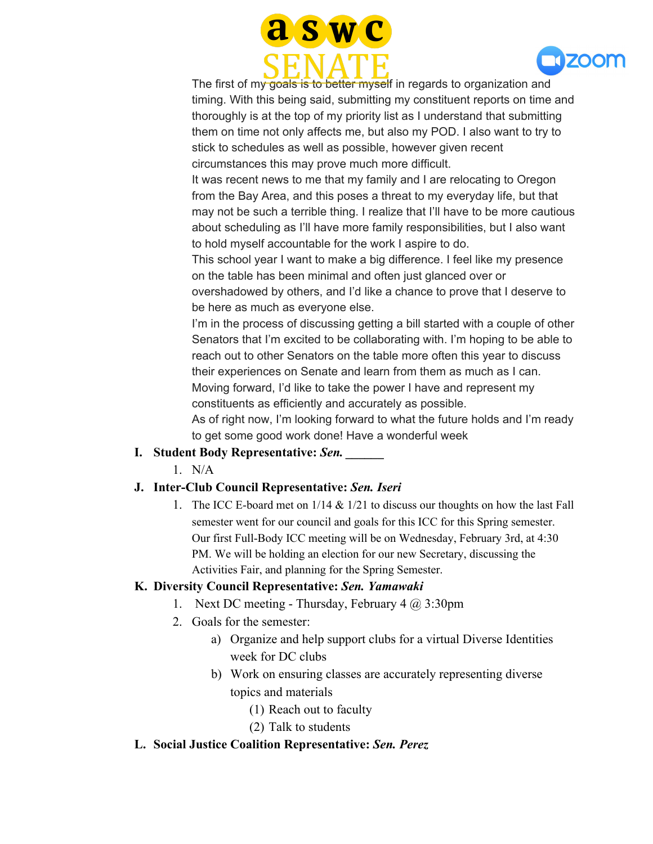



The first of my goals is to better myself in regards to organization and timing. With this being said, submitting my constituent reports on time and thoroughly is at the top of my priority list as I understand that submitting them on time not only affects me, but also my POD. I also want to try to stick to schedules as well as possible, however given recent circumstances this may prove much more difficult.

It was recent news to me that my family and I are relocating to Oregon from the Bay Area, and this poses a threat to my everyday life, but that may not be such a terrible thing. I realize that I'll have to be more cautious about scheduling as I'll have more family responsibilities, but I also want to hold myself accountable for the work I aspire to do.

This school year I want to make a big difference. I feel like my presence on the table has been minimal and often just glanced over or

overshadowed by others, and I'd like a chance to prove that I deserve to be here as much as everyone else.

I'm in the process of discussing getting a bill started with a couple of other Senators that I'm excited to be collaborating with. I'm hoping to be able to reach out to other Senators on the table more often this year to discuss their experiences on Senate and learn from them as much as I can. Moving forward, I'd like to take the power I have and represent my constituents as efficiently and accurately as possible.

As of right now, I'm looking forward to what the future holds and I'm ready to get some good work done! Have a wonderful week

## **I. Student Body Representative:** *Sen. \_\_\_\_\_\_*

1. N/A

## **J. Inter-Club Council Representative:** *Sen. Iseri*

1. The ICC E-board met on 1/14 & 1/21 to discuss our thoughts on how the last Fall semester went for our council and goals for this ICC for this Spring semester. Our first Full-Body ICC meeting will be on Wednesday, February 3rd, at 4:30 PM. We will be holding an election for our new Secretary, discussing the Activities Fair, and planning for the Spring Semester.

## **K. Diversity Council Representative:** *Sen. Yamawaki*

- 1. Next DC meeting Thursday, February  $4 \overline{a}$  3:30pm
- 2. Goals for the semester:
	- a) Organize and help support clubs for a virtual Diverse Identities week for DC clubs
	- b) Work on ensuring classes are accurately representing diverse topics and materials
		- (1) Reach out to faculty
		- (2) Talk to students

## **L. Social Justice Coalition Representative:** *Sen. Perez*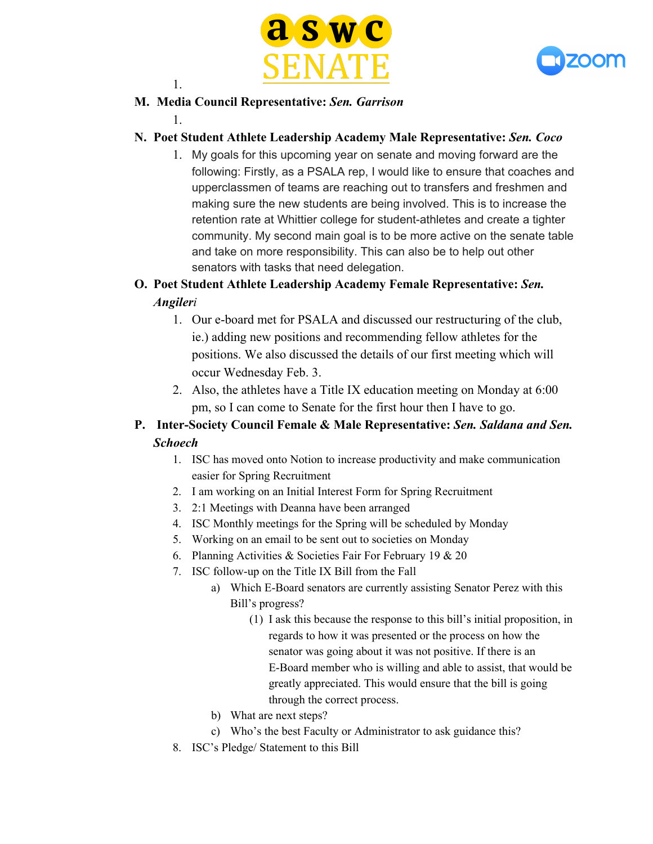



# **M. Media Council Representative:** *Sen. Garrison*

1.

1.

#### **N. Poet Student Athlete Leadership Academy Male Representative:** *Sen. Coco*

1. My goals for this upcoming year on senate and moving forward are the following: Firstly, as a PSALA rep, I would like to ensure that coaches and upperclassmen of teams are reaching out to transfers and freshmen and making sure the new students are being involved. This is to increase the retention rate at Whittier college for student-athletes and create a tighter community. My second main goal is to be more active on the senate table and take on more responsibility. This can also be to help out other senators with tasks that need delegation.

# **O. Poet Student Athlete Leadership Academy Female Representative:** *Sen. Angileri*

- 1. Our e-board met for PSALA and discussed our restructuring of the club, ie.) adding new positions and recommending fellow athletes for the positions. We also discussed the details of our first meeting which will occur Wednesday Feb. 3.
- 2. Also, the athletes have a Title IX education meeting on Monday at 6:00 pm, so I can come to Senate for the first hour then I have to go.

# **P. Inter-Society Council Female & Male Representative:** *Sen. Saldana and Sen. Schoech*

- 1. ISC has moved onto Notion to increase productivity and make communication easier for Spring Recruitment
- 2. I am working on an Initial Interest Form for Spring Recruitment
- 3. 2:1 Meetings with Deanna have been arranged
- 4. ISC Monthly meetings for the Spring will be scheduled by Monday
- 5. Working on an email to be sent out to societies on Monday
- 6. Planning Activities & Societies Fair For February 19 & 20
- 7. ISC follow-up on the Title IX Bill from the Fall
	- a) Which E-Board senators are currently assisting Senator Perez with this Bill's progress?
		- (1) I ask this because the response to this bill's initial proposition, in regards to how it was presented or the process on how the senator was going about it was not positive. If there is an E-Board member who is willing and able to assist, that would be greatly appreciated. This would ensure that the bill is going through the correct process.
	- b) What are next steps?
	- c) Who's the best Faculty or Administrator to ask guidance this?
- 8. ISC's Pledge/ Statement to this Bill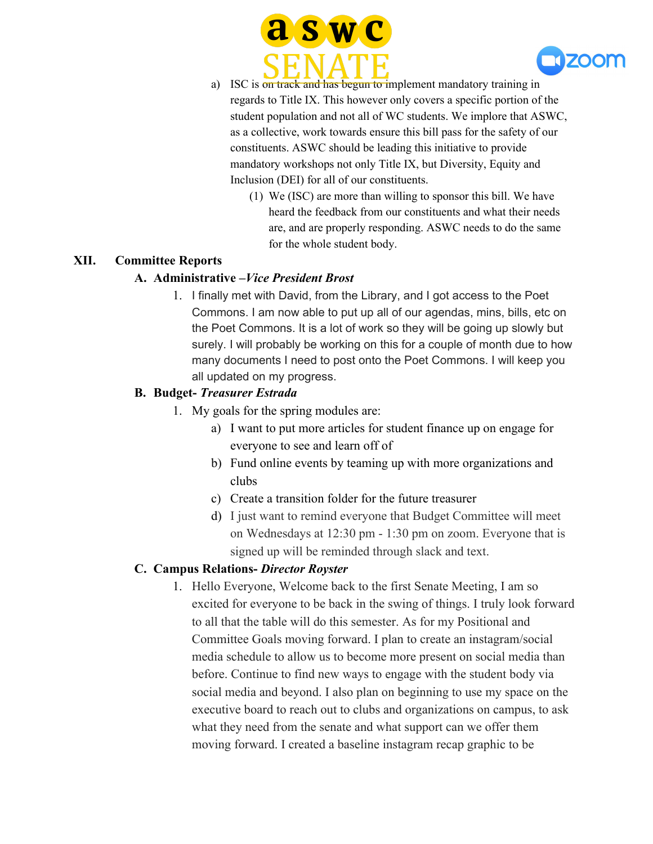



- a) ISC is on track and has begun to implement mandatory training in regards to Title IX. This however only covers a specific portion of the student population and not all of WC students. We implore that ASWC, as a collective, work towards ensure this bill pass for the safety of our constituents. ASWC should be leading this initiative to provide mandatory workshops not only Title IX, but Diversity, Equity and Inclusion (DEI) for all of our constituents.
	- (1) We (ISC) are more than willing to sponsor this bill. We have heard the feedback from our constituents and what their needs are, and are properly responding. ASWC needs to do the same for the whole student body.

#### **XII. Committee Reports**

#### **A. Administrative –***Vice President Brost*

1. I finally met with David, from the Library, and I got access to the Poet Commons. I am now able to put up all of our agendas, mins, bills, etc on the Poet Commons. It is a lot of work so they will be going up slowly but surely. I will probably be working on this for a couple of month due to how many documents I need to post onto the Poet Commons. I will keep you all updated on my progress.

#### **B. Budget-** *Treasurer Estrada*

- 1. My goals for the spring modules are:
	- a) I want to put more articles for student finance up on engage for everyone to see and learn off of
	- b) Fund online events by teaming up with more organizations and clubs
	- c) Create a transition folder for the future treasurer
	- d) I just want to remind everyone that Budget Committee will meet on Wednesdays at 12:30 pm - 1:30 pm on zoom. Everyone that is signed up will be reminded through slack and text.

#### **C. Campus Relations-** *Director Royster*

1. Hello Everyone, Welcome back to the first Senate Meeting, I am so excited for everyone to be back in the swing of things. I truly look forward to all that the table will do this semester. As for my Positional and Committee Goals moving forward. I plan to create an instagram/social media schedule to allow us to become more present on social media than before. Continue to find new ways to engage with the student body via social media and beyond. I also plan on beginning to use my space on the executive board to reach out to clubs and organizations on campus, to ask what they need from the senate and what support can we offer them moving forward. I created a baseline instagram recap graphic to be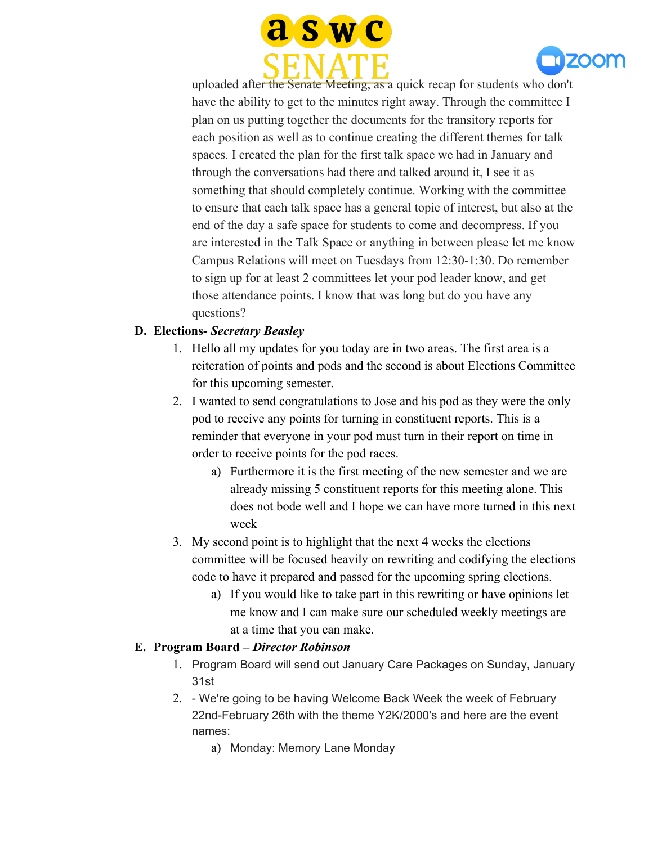



uploaded after the Senate Meeting, as a quick recap for students who don't have the ability to get to the minutes right away. Through the committee I plan on us putting together the documents for the transitory reports for each position as well as to continue creating the different themes for talk spaces. I created the plan for the first talk space we had in January and through the conversations had there and talked around it, I see it as something that should completely continue. Working with the committee to ensure that each talk space has a general topic of interest, but also at the end of the day a safe space for students to come and decompress. If you are interested in the Talk Space or anything in between please let me know Campus Relations will meet on Tuesdays from 12:30-1:30. Do remember to sign up for at least 2 committees let your pod leader know, and get those attendance points. I know that was long but do you have any questions?

## **D. Elections-** *Secretary Beasley*

- 1. Hello all my updates for you today are in two areas. The first area is a reiteration of points and pods and the second is about Elections Committee for this upcoming semester.
- 2. I wanted to send congratulations to Jose and his pod as they were the only pod to receive any points for turning in constituent reports. This is a reminder that everyone in your pod must turn in their report on time in order to receive points for the pod races.
	- a) Furthermore it is the first meeting of the new semester and we are already missing 5 constituent reports for this meeting alone. This does not bode well and I hope we can have more turned in this next week
- 3. My second point is to highlight that the next 4 weeks the elections committee will be focused heavily on rewriting and codifying the elections code to have it prepared and passed for the upcoming spring elections.
	- a) If you would like to take part in this rewriting or have opinions let me know and I can make sure our scheduled weekly meetings are at a time that you can make.

#### **E. Program Board –** *Director Robinson*

- 1. Program Board will send out January Care Packages on Sunday, January 31st
- 2. We're going to be having Welcome Back Week the week of February 22nd-February 26th with the theme Y2K/2000's and here are the event names:
	- a) Monday: Memory Lane Monday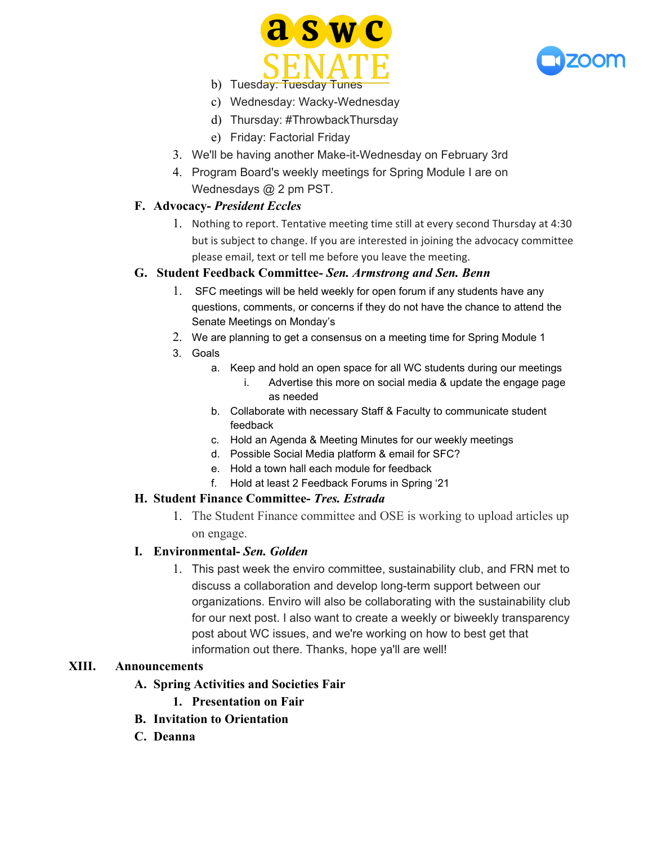



- b) Tuesday: Tuesday Tunes
- c) Wednesday: Wacky-Wednesday
- d) Thursday: #ThrowbackThursday
- e) Friday: Factorial Friday
- 3. We'll be having another Make-it-Wednesday on February 3rd
- 4. Program Board's weekly meetings for Spring Module I are on Wednesdays @ 2 pm PST.

#### **F. Advocacy-** *President Eccles*

1. Nothing to report. Tentative meeting time still at every second Thursday at 4:30 but is subject to change. If you are interested in joining the advocacy committee please email, text or tell me before you leave the meeting.

#### **G. Student Feedback Committee-** *Sen. Armstrong and Sen. Benn*

- 1. SFC meetings will be held weekly for open forum if any students have any questions, comments, or concerns if they do not have the chance to attend the Senate Meetings on Monday's
- 2. We are planning to get a consensus on a meeting time for Spring Module 1
- 3. Goals
	- a. Keep and hold an open space for all WC students during our meetings i. Advertise this more on social media & update the engage page as needed
	- b. Collaborate with necessary Staff & Faculty to communicate student feedback
	- c. Hold an Agenda & Meeting Minutes for our weekly meetings
	- d. Possible Social Media platform & email for SFC?
	- e. Hold a town hall each module for feedback
	- f. Hold at least 2 Feedback Forums in Spring '21

#### **H. Student Finance Committee-** *Tres. Estrada*

1. The Student Finance committee and OSE is working to upload articles up on engage.

#### **I. Environmental-** *Sen. Golden*

1. This past week the enviro committee, sustainability club, and FRN met to discuss a collaboration and develop long-term support between our organizations. Enviro will also be collaborating with the sustainability club for our next post. I also want to create a weekly or biweekly transparency post about WC issues, and we're working on how to best get that information out there. Thanks, hope ya'll are well!

#### **XIII. Announcements**

- **A. Spring Activities and Societies Fair**
	- **1. Presentation on Fair**
- **B. Invitation to Orientation**
- **C. Deanna**